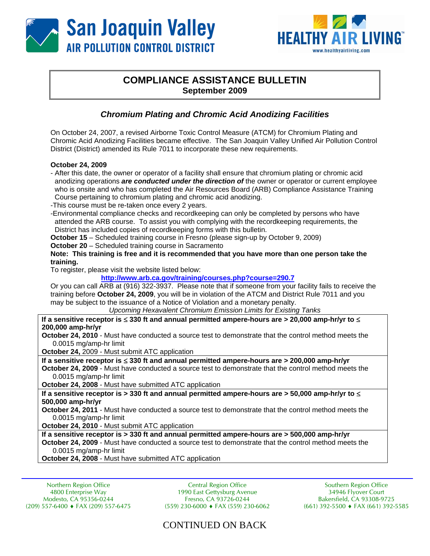



## **COMPLIANCE ASSISTANCE BULLETIN September 2009**

## *Chromium Plating and Chromic Acid Anodizing Facilities*

On October 24, 2007, a revised Airborne Toxic Control Measure (ATCM) for Chromium Plating and Chromic Acid Anodizing Facilities became effective. The San Joaquin Valley Unified Air Pollution Control District (District) amended its Rule 7011 to incorporate these new requirements.

## **October 24, 2009**

- After this date, the owner or operator of a facility shall ensure that chromium plating or chromic acid anodizing operations *are conducted under the direction of* the owner or operator or current employee who is onsite and who has completed the Air Resources Board (ARB) Compliance Assistance Training Course pertaining to chromium plating and chromic acid anodizing.

-This course must be re-taken once every 2 years.

-Environmental compliance checks and recordkeeping can only be completed by persons who have attended the ARB course. To assist you with complying with the recordkeeping requirements, the District has included copies of recordkeeping forms with this bulletin.

**October 15** – Scheduled training course in Fresno (please sign-up by October 9, 2009)

**October 20** – Scheduled training course in Sacramento

**Note: This training is free and it is recommended that you have more than one person take the training.** 

To register, please visit the website listed below:

**<http://www.arb.ca.gov/training/courses.php?course=290.7>**

Or you can call ARB at (916) 322-3937. Please note that if someone from your facility fails to receive the training before **October 24, 2009**, you will be in violation of the ATCM and District Rule 7011 and you may be subject to the issuance of a Notice of Violation and a monetary penalty.

*Upcoming Hexavalent Chromium Emission Limits for Existing Tanks* 

**If a sensitive receptor is** ≤ **330 ft and annual permitted ampere-hours are > 20,000 amp-hr/yr to** ≤ **200,000 amp-hr/yr** 

**October 24, 2010** - Must have conducted a source test to demonstrate that the control method meets the 0.0015 mg/amp-hr limit

**October 24,** 2009 - Must submit ATC application

**If a sensitive receptor is** ≤ **330 ft and annual permitted ampere-hours are > 200,000 amp-hr/yr October 24, 2009** - Must have conducted a source test to demonstrate that the control method meets the 0.0015 mg/amp-hr limit

**October 24, 2008** - Must have submitted ATC application

**If a sensitive receptor is > 330 ft and annual permitted ampere-hours are > 50,000 amp-hr/yr to** ≤ **500,000 amp-hr/yr** 

**October 24, 2011** - Must have conducted a source test to demonstrate that the control method meets the 0.0015 mg/amp-hr limit

**October 24, 2010** - Must submit ATC application

**If a sensitive receptor is > 330 ft and annual permitted ampere-hours are > 500,000 amp-hr/yr October 24, 2009** - Must have conducted a source test to demonstrate that the control method meets the 0.0015 mg/amp-hr limit

**October 24, 2008** - Must have submitted ATC application

Northern Region Office 4800 Enterprise Way Modesto, CA 95356-0244 (209) 557-6400 ♦ FAX (209) 557-6475

Central Region Office 1990 East Gettysburg Avenue Fresno, CA 93726-0244 (559) 230-6000 ♦ FAX (559) 230-6062

Southern Region Office 34946 Flyover Court Bakersfield, CA 93308-9725 (661) 392-5500 ♦ FAX (661) 392-5585

CONTINUED ON BACK